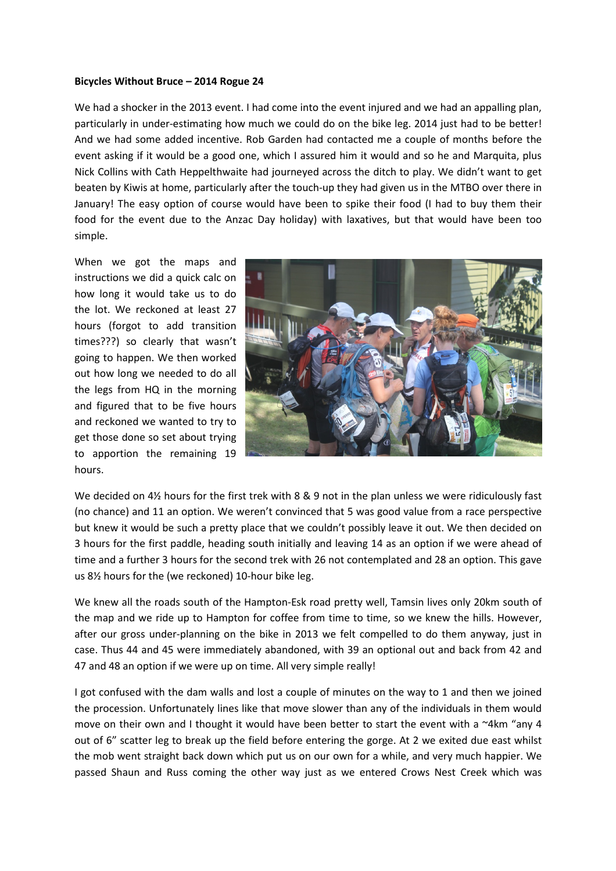## Bicycles Without Bruce – 2014 Rogue 24

We had a shocker in the 2013 event. I had come into the event injured and we had an appalling plan, particularly in under-estimating how much we could do on the bike leg. 2014 just had to be better! And we had some added incentive. Rob Garden had contacted me a couple of months before the event asking if it would be a good one, which I assured him it would and so he and Marquita, plus Nick Collins with Cath Heppelthwaite had journeyed across the ditch to play. We didn't want to get beaten by Kiwis at home, particularly after the touch-up they had given us in the MTBO over there in January! The easy option of course would have been to spike their food (I had to buy them their food for the event due to the Anzac Day holiday) with laxatives, but that would have been too simple.

When we got the maps and instructions we did a quick calc on how long it would take us to do the lot. We reckoned at least 27 hours (forgot to add transition times???) so clearly that wasn't going to happen. We then worked out how long we needed to do all the legs from HQ in the morning and figured that to be five hours and reckoned we wanted to try to get those done so set about trying to apportion the remaining 19 hours.



We decided on  $4\frac{1}{2}$  hours for the first trek with 8 & 9 not in the plan unless we were ridiculously fast (no chance) and 11 an option. We weren't convinced that 5 was good value from a race perspective but knew it would be such a pretty place that we couldn't possibly leave it out. We then decided on 3 hours for the first paddle, heading south initially and leaving 14 as an option if we were ahead of time and a further 3 hours for the second trek with 26 not contemplated and 28 an option. This gave us 8½ hours for the (we reckoned) 10-hour bike leg.

We knew all the roads south of the Hampton-Esk road pretty well, Tamsin lives only 20km south of the map and we ride up to Hampton for coffee from time to time, so we knew the hills. However, after our gross under-planning on the bike in 2013 we felt compelled to do them anyway, just in case. Thus 44 and 45 were immediately abandoned, with 39 an optional out and back from 42 and 47 and 48 an option if we were up on time. All very simple really!

I got confused with the dam walls and lost a couple of minutes on the way to 1 and then we joined the procession. Unfortunately lines like that move slower than any of the individuals in them would move on their own and I thought it would have been better to start the event with a  $4$ km "any 4 out of 6" scatter leg to break up the field before entering the gorge. At 2 we exited due east whilst the mob went straight back down which put us on our own for a while, and very much happier. We passed Shaun and Russ coming the other way just as we entered Crows Nest Creek which was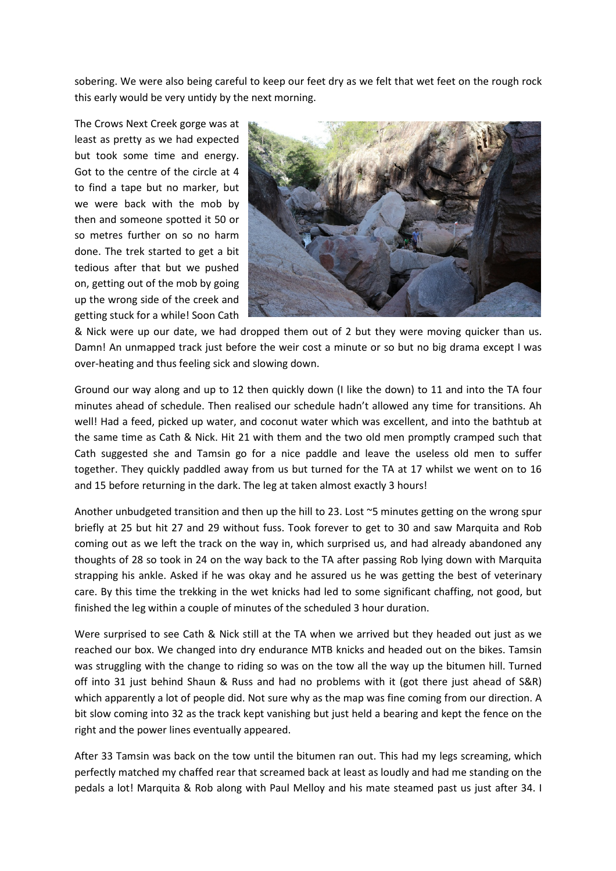sobering. We were also being careful to keep our feet dry as we felt that wet feet on the rough rock this early would be very untidy by the next morning.

The Crows Next Creek gorge was at least as pretty as we had expected but took some time and energy. Got to the centre of the circle at 4 to find a tape but no marker, but we were back with the mob by then and someone spotted it 50 or so metres further on so no harm done. The trek started to get a bit tedious after that but we pushed on, getting out of the mob by going up the wrong side of the creek and getting stuck for a while! Soon Cath



& Nick were up our date, we had dropped them out of 2 but they were moving quicker than us. Damn! An unmapped track just before the weir cost a minute or so but no big drama except I was over-heating and thus feeling sick and slowing down.

Ground our way along and up to 12 then quickly down (I like the down) to 11 and into the TA four minutes ahead of schedule. Then realised our schedule hadn't allowed any time for transitions. Ah well! Had a feed, picked up water, and coconut water which was excellent, and into the bathtub at the same time as Cath & Nick. Hit 21 with them and the two old men promptly cramped such that Cath suggested she and Tamsin go for a nice paddle and leave the useless old men to suffer together. They quickly paddled away from us but turned for the TA at 17 whilst we went on to 16 and 15 before returning in the dark. The leg at taken almost exactly 3 hours!

Another unbudgeted transition and then up the hill to 23. Lost ~5 minutes getting on the wrong spur briefly at 25 but hit 27 and 29 without fuss. Took forever to get to 30 and saw Marquita and Rob coming out as we left the track on the way in, which surprised us, and had already abandoned any thoughts of 28 so took in 24 on the way back to the TA after passing Rob lying down with Marquita strapping his ankle. Asked if he was okay and he assured us he was getting the best of veterinary care. By this time the trekking in the wet knicks had led to some significant chaffing, not good, but finished the leg within a couple of minutes of the scheduled 3 hour duration.

Were surprised to see Cath & Nick still at the TA when we arrived but they headed out just as we reached our box. We changed into dry endurance MTB knicks and headed out on the bikes. Tamsin was struggling with the change to riding so was on the tow all the way up the bitumen hill. Turned off into 31 just behind Shaun & Russ and had no problems with it (got there just ahead of S&R) which apparently a lot of people did. Not sure why as the map was fine coming from our direction. A bit slow coming into 32 as the track kept vanishing but just held a bearing and kept the fence on the right and the power lines eventually appeared.

After 33 Tamsin was back on the tow until the bitumen ran out. This had my legs screaming, which perfectly matched my chaffed rear that screamed back at least as loudly and had me standing on the pedals a lot! Marquita & Rob along with Paul Melloy and his mate steamed past us just after 34. I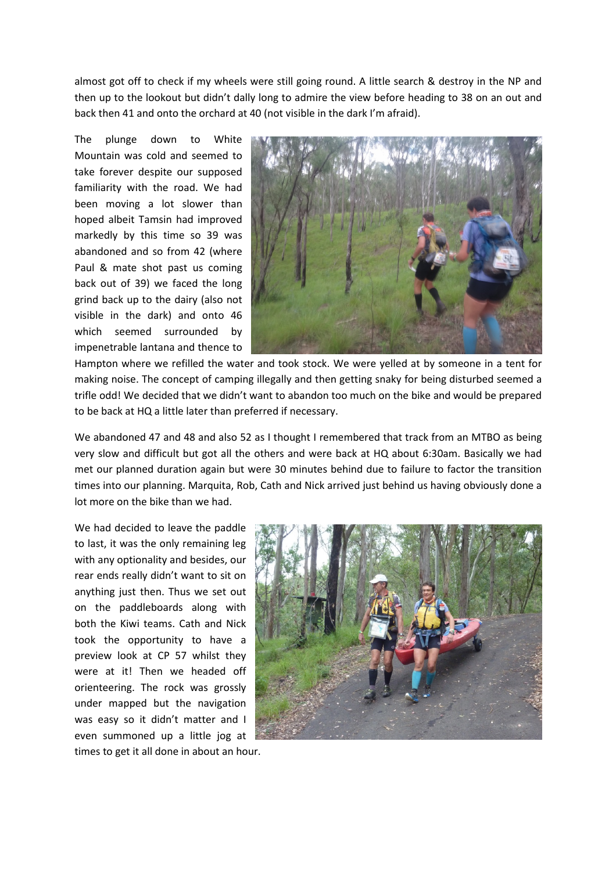almost got off to check if my wheels were still going round. A little search & destroy in the NP and then up to the lookout but didn't dally long to admire the view before heading to 38 on an out and back then 41 and onto the orchard at 40 (not visible in the dark I'm afraid).

The plunge down to White Mountain was cold and seemed to take forever despite our supposed familiarity with the road. We had been moving a lot slower than hoped albeit Tamsin had improved markedly by this time so 39 was abandoned and so from 42 (where Paul & mate shot past us coming back out of 39) we faced the long grind back up to the dairy (also not visible in the dark) and onto 46 which seemed surrounded by impenetrable lantana and thence to



Hampton where we refilled the water and took stock. We were yelled at by someone in a tent for making noise. The concept of camping illegally and then getting snaky for being disturbed seemed a trifle odd! We decided that we didn't want to abandon too much on the bike and would be prepared to be back at HQ a little later than preferred if necessary.

We abandoned 47 and 48 and also 52 as I thought I remembered that track from an MTBO as being very slow and difficult but got all the others and were back at HQ about 6:30am. Basically we had met our planned duration again but were 30 minutes behind due to failure to factor the transition times into our planning. Marquita, Rob, Cath and Nick arrived just behind us having obviously done a lot more on the bike than we had.

We had decided to leave the paddle to last, it was the only remaining leg with any optionality and besides, our rear ends really didn't want to sit on anything just then. Thus we set out on the paddleboards along with both the Kiwi teams. Cath and Nick took the opportunity to have a preview look at CP 57 whilst they were at it! Then we headed off orienteering. The rock was grossly under mapped but the navigation was easy so it didn't matter and I even summoned up a little jog at times to get it all done in about an hour.

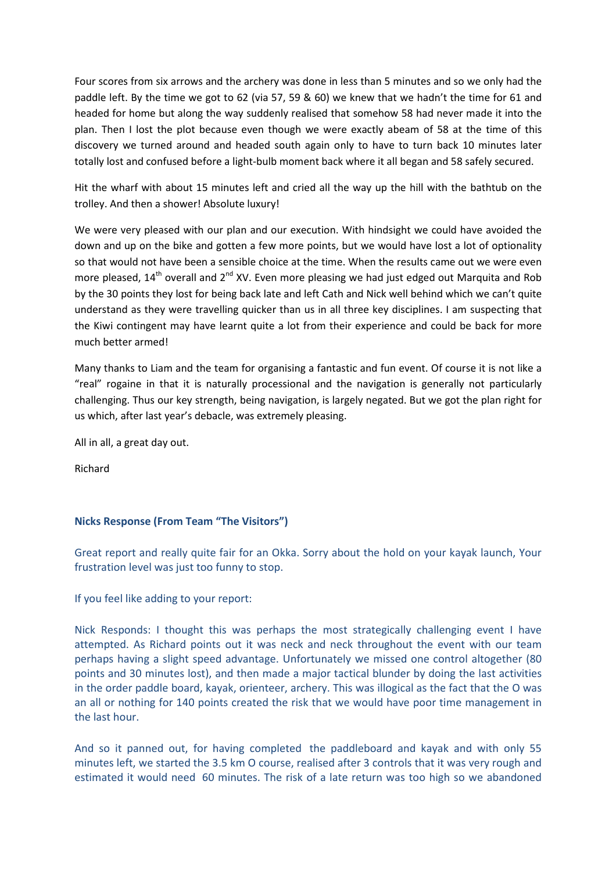Four scores from six arrows and the archery was done in less than 5 minutes and so we only had the paddle left. By the time we got to 62 (via 57, 59 & 60) we knew that we hadn't the time for 61 and headed for home but along the way suddenly realised that somehow 58 had never made it into the plan. Then I lost the plot because even though we were exactly abeam of 58 at the time of this discovery we turned around and headed south again only to have to turn back 10 minutes later totally lost and confused before a light-bulb moment back where it all began and 58 safely secured.

Hit the wharf with about 15 minutes left and cried all the way up the hill with the bathtub on the trolley. And then a shower! Absolute luxury!

We were very pleased with our plan and our execution. With hindsight we could have avoided the down and up on the bike and gotten a few more points, but we would have lost a lot of optionality so that would not have been a sensible choice at the time. When the results came out we were even more pleased,  $14<sup>th</sup>$  overall and  $2<sup>nd</sup>$  XV. Even more pleasing we had just edged out Marquita and Rob by the 30 points they lost for being back late and left Cath and Nick well behind which we can't quite understand as they were travelling quicker than us in all three key disciplines. I am suspecting that the Kiwi contingent may have learnt quite a lot from their experience and could be back for more much better armed!

Many thanks to Liam and the team for organising a fantastic and fun event. Of course it is not like a "real" rogaine in that it is naturally processional and the navigation is generally not particularly challenging. Thus our key strength, being navigation, is largely negated. But we got the plan right for us which, after last year's debacle, was extremely pleasing.

All in all, a great day out.

Richard

## Nicks Response (From Team "The Visitors")

Great report and really quite fair for an Okka. Sorry about the hold on your kayak launch, Your frustration level was just too funny to stop.

If you feel like adding to your report:

Nick Responds: I thought this was perhaps the most strategically challenging event I have attempted. As Richard points out it was neck and neck throughout the event with our team perhaps having a slight speed advantage. Unfortunately we missed one control altogether (80 points and 30 minutes lost), and then made a major tactical blunder by doing the last activities in the order paddle board, kayak, orienteer, archery. This was illogical as the fact that the O was an all or nothing for 140 points created the risk that we would have poor time management in the last hour.

And so it panned out, for having completed the paddleboard and kayak and with only 55 minutes left, we started the 3.5 km O course, realised after 3 controls that it was very rough and estimated it would need 60 minutes. The risk of a late return was too high so we abandoned